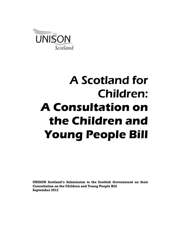

# A Scotland for Children: A Consultation on the Children and Young People Bill

UNISON Scotland's Submission to the Scottish Government on their Consultation on the Children and Young People Bill September 2012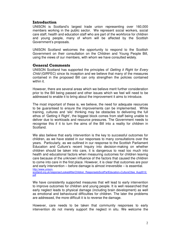# Introduction

UNISON is Scotland's largest trade union representing over 160,000 members working in the public sector. We represent social workers, social care staff, health and education staff who are part of the workforce for children and young people, many of whom will be affected by the Scottish Government's proposals.

UNISON Scotland welcomes the opportunity to respond to the Scottish Government on their consultation on the Children and Young People Bill, using the views of our members, with whom we have consulted widely.

# General Comments

UNISON Scotland has supported the principles of Getting it Right for Every Child (GIRFEC) since its inception and we believe that many of the measures contained in the proposed Bill can only strengthen the policies contained within it.

However, there are several areas which we believe merit further consideration prior to the Bill being passed and other issues which we feel will need to be addressed to enable it to bring about the improvement it aims to introduce.

The most important of these is, we believe, the need for adequate resources to be guaranteed to ensure the improvements can be implemented. While training, cultures and 'silo' thinking may be obstacles to delivering the full ethos of 'Getting it Right', the biggest block comes from staff being unable to deliver due to workloads and resource pressures. The Government needs to recognise this if it to turn the aims of the Bill into a reality for children in Scotland.

We also believe that early intervention is the key to successful outcomes for children, as we have stated in our responses to many consultations over the years. Particularly, as we outlined in our response to the Scottish Parliament Education and Culture's recent Inquiry into decision-making on whether children should be taken into care, it is dangerous to read too much into health and educational factors when measuring outcomes for children leaving care because of the unknown influence of the factors that caused the children to come into care in the first place. However, it is clear that outcomes are poor and early intervention – before damage is almost irreversible – is essential. http://www.unison-

scotland.org.uk/response/LookedAfterChildren\_ResponsetoScotParlEducation+CultureCttee\_Aug2012. pdf

We have consistently supported measures that will lead to early intervention to improve outcomes for children and young people. It is well researched that early neglect leads to physical damage (including brain development) as well as emotional and behavioural difficulties for children. The later the problems are addressed, the more difficult it is to reverse the damage.

However, care needs to be taken that community responses to early intervention do not merely support the neglect in situ. We welcome the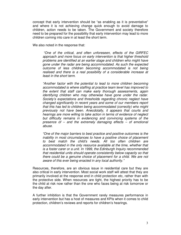concept that early intervention should be "as enabling as it is preventative" and where it is not achieving change quick enough to avoid damage to children, action needs to be taken. The Government and society therefore need to be prepared for the possibility that early intervention may lead to more children coming into care in at least the short term.

We also noted in the response that:

 "One of the critical, and often unforeseen, effects of the GIRFEC approach and more focus on early intervention is that higher threshold problems are identified at an earlier stage and children who might have gone under the radar are being accommodated. As such the expected outcome of less children becoming accommodated is not being realised and there is a real possibility of a considerable increase at least in the short term.

"Another factor with the potential to lead to more children becoming accommodated is where staffing at practice team level has improved to the extent that staff can make early thorough assessments, again identifying children who may otherwise have gone under the radar. Society's expectations and thresholds regarding chronic neglect have changed significantly in recent years and some of our members report that this has led to children being accommodated (correctly) who might previously not have been. Anecdotally, it appears that courts and hearings are more willing to take action in terms of evidence of neglect but difficulty remains in evidencing and convincing systems of the presence of  $-$  and the extremely damaging effects  $-$  of emotional abuse.

"One of the major barriers to best practice and positive outcomes is the inability in most circumstances to have a positive choice of placement to best match the child's needs. All too often children are accommodated in the only resource available at the time, whether that is a foster carer or a unit. In 1999, the Edinburgh Inquiry recommended that residential units should operate consistently below capacity so that there could be a genuine choice of placement for a child. We are not aware of this ever being enacted in any local authority."

Resources, therefore, are an obvious issue in residential care but they are also critical in early intervention. Most social work staff will attest that they are primarily involved at the response end in child protection etc, rather than with the protective side. When resources are tight, the highest priority has to be the child at risk now rather than the one who faces being at risk tomorrow or the day after.

A further inhibition is that the Government rarely measures performance in early intervention but has a host of measures and KPIs when it comes to child protection, children's reviews and reports for children's hearings.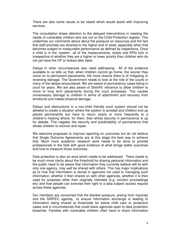There are also some issues to be raised which would assist with improving services.

The consultation draws attention to the delayed interventions in meeting the needs of vulnerable children who are not on the Child Protection register. This underlines our comments above about the pressure on resources and the fact that staff priorities are diverted to the higher end of need, especially when that becomes subject to measurable performance as defined by inspections. Once a child is in the 'system', all of the measurements, duties and KPIs kick in irrespective of whether they are a higher or lower priority than children who do not yet have the CP or looked after label.

Delays in other circumstances also need addressing. All of the evidence available to us tells us that, when children cannot go home, the sooner they move on to permanent placements, the more chance there is of mitigating or reversing damage. The Government needs to look at the role of the courts in many of the delays encountered. We are aware of permanency cases being in court for years. We are also aware of Sheriffs' reticence to allow children to move to long term placements during the court processes. This causes unnecessary damage to children in terms of attachment and recovery from emotional and indeed physical damage.

Delays and obstructions in a non-child friendly court system should not be allowed to create a situation where the system is avoided and children end up placed permanently but have to return yearly or more frequently to a children's hearing where, for them, their whole security in permanence is up for debate. This negates the security and predictability of permanence that allows children to recover and repair.

We welcome proposals to improve reporting on outcomes but do not believe that Single Outcome Agreements are at this stage the best way to achieve that. Much more academic research work needs to be done to provide professionals in the field with good evidence of what brings better outcomes and how to measure those outcomes.

Data protection is also an area which needs to be addressed. There needs to be much more clarity about the threshold for sharing personal information and the public need to be aware that information they currently believe will lie with only one agency, may well be shared with others. This has major implications as to how that information is stored in agencies not used to managing such information, whether it then shared on with other agencies, whether it is then used for purposes other than originally intended (e.g. eviction proceedings etc) and how people can exercise their right to a data subject access request across these agencies.

Our members are concerned that the blanket pressure, arising from inquiries and the GIRFEC agenda, to ensure information exchange is leading to information being shared at thresholds far below child care or protection cases and in circumstances that could leave agencies open to data protection breaches. Families with vulnerable children often have to share information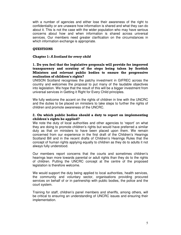with a number of agencies and either lose their awareness of the right to confidentiality or are unaware how information is shared and what they can do about it. This is not the case with the wider population who may have serious concerns about how and when information is shared across universal services. Our members need greater clarification on the circumstances in which information exchange is appropriate.

# **QUESTIONS**

#### Chapter 1: A Scotland for every child

#### 1. Do you feel that the legislative proposals will provide for improved transparency and scrutiny of the steps being taken by Scottish Ministers and relevant public bodies to ensure the progressive realisation of children's rights?

UNISON Scotland recognises the patchy investment in GIFREC across the country and welcomes the proposal to put many of the laudable objectives into legislation. We hope that the result of this will be a bigger investment from universal services in Getting it Right for Every Child principles.

We fully welcome the accent on the rights of children in line with the UNCRC and the duties to be placed on ministers to take steps to further the rights of children and promote awareness of the UNCRC.

# 2. On which public bodies should a duty to report on implementing children's rights be applied?

We note the duty of local authorities and other agencies to 'report' on what they are doing to promote children's rights but would have preferred a similar duty as that on ministers to have been placed upon them. We remain concerned from our experience in the first draft of the Children's Hearings Scotland Bill and in the recent drafts of Children's Hearings Rules that the concept of human rights applying equally to children as they do to adults it not always fully understood.

Our members report concerns that the courts and sometimes children's hearings lean more towards parental or adult rights than they do to the rights of children. Putting the UNCRC concept at the centre of the proposed legislation is therefore welcome.

We would support the duty being applied to local authorities, health services, the community and voluntary sector, organisations providing procured services on behalf of or in partnership with public bodies, the police and the court system.

Training for staff, children's panel members and sheriffs, among others, will be critical to ensuring an understanding of UNCRC issues and ensuring their implementation.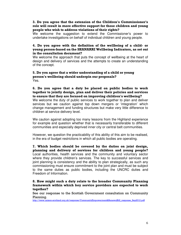# 3. Do you agree that the extension of the Children's Commissioner's role will result in more effective support for those children and young people who wish to address violations of their rights?

We welcome the suggestion to extend the Commissioner's power to undertake investigations on behalf of individual children and young people.

#### 4. Do you agree with the definition of the wellbeing of a child- or young person-based on the SHANARRI Wellbeing Indicators, as set out in the consultation document?

We welcome the approach that puts the concept of wellbeing at the heart of design and delivery of services and the attempts to create an understanding of the concept.

#### 5. Do you agree that a wider understanding of a child or young person's wellbeing should underpin our proposals? Yes.

# 6. Do you agree that a duty be placed on public bodies to work together to jointly design, plan and deliver their policies and services to ensure that they are focused on improving children's wellbeing?

We welcome the duty of public services to work together to plan and deliver services but we caution against top down mergers or 'integration' which change management and funding structures but make very little difference to children at service delivery level.

We caution against adopting too many lessons from the Highland experience for example and question whether that is necessarily transferable to different communities and especially deprived inner city or central belt communities.

However, we question the practicability of this ability of this aim to be realised, in the era of budget restrictions in which all public bodies are operating.

7. Which bodies should be covered by the duties on joint design, planning and delivery of services for children and young people? Local authorities, health services and the community and voluntary sector where they provide children's services. The key to successful services and joint planning is consistency and the ability to plan strategically, as such any commissioning must ensure commitment to the joint plan and must be subject to the same duties as public bodies, including the UNCRC duties and Freedom of Information.

#### 8. How might such a duty relate to the broader Community Planning framework within which key service providers are expected to work together?

See our response to the Scottish Government consultation on Community Planning.

http://www.unison-scotland.org.uk/response/CommunityEmpowerment&RenewalBill\_response\_Sep2012.pdf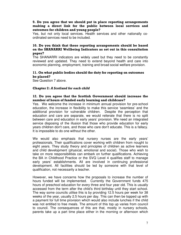#### 9. Do you agree that we should put in place reporting arrangements making a direct link for the public between local services and outcomes for children and young people?

Yes, but not only local services. Health services and other nationally coordinated services need to be included.

# 10. Do you think that these reporting arrangements should be based on the SHANARRI Wellbeing Indicators as set out in this consultation paper?

The SHANARRI indicators are widely used but they need to be constantly reviewed and updated. They need to extend beyond health and care into economic planning, employment, training and broad social welfare provision.

# 11. On what public bodies should the duty for reporting on outcomes be placed?

See Question 7 above.

#### Chapter 2: A Scotland for each child

# 12. Do you agree that the Scottish Government should increase the number of hours of funded early learning and childcare?

Yes. We welcome the increase in minimum annual provision for pre-school education, the increase in flexibility to make this service 'seamless' and the additional provision for vulnerable children. Despite the perception that education and care are separate, we would reiterate that there is no split between care and education in early years' provision. We need an integrated service disposing of the illusion that those who provide education for early years children don't care, and those who care don't educate. This is a fallacy. It is impossible to do one without the other.

We would also emphasis that nursery nurses are the early years' professionals. Their qualifications cover working with children from nought to eight years. They study theory and principles of children as active learners and child development (physical, emotional and social). Those who wish to take on more responsibilities can embark on further qualifications. Achieving the BA in Childhood Practice or the SVQ Level 4 qualifies staff to manage early years' establishments. All are involved in continuing professional development. All facilities should be led by someone with that level of qualification, not necessarily a teacher.

However, we have concerns how the proposals to increase the number of hours funded will be implemented. Currently the Government funds 475 hours of preschool education for every three and four year old. This is usually accessed from the term after the child's third birthday until they start school. The way some councils utilise this is by providing 12.5 hours per week for 38 weeks of the year, usually 2.5 hours per day. This can then be topped up with a payment for full time provision which would also include lunches if the child was not entitled to free meals. The amount of this top up varies from council to council. The consequences of this are that, mostly in nursery schools, parents take up a part time place either in the morning or afternoon which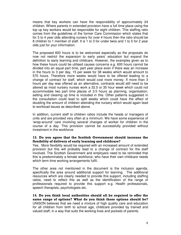means that key workers can have the responsibility of approximately 24 children. Where parents in extended provision have a full time place using the top up key workers would be responsible for eight children. This staffing ratio comes from the guidelines of the former Care Commission which states that for 3 to 4 year olds attending nursery for over 4 hours then the ratio should be 8 children to 1 member of staff. It is 1 to 3 for under twos and 1 to 5 for 2 year olds just for your information.

The proposed 600 hours is to be welcomed especially as the proposals do now not restrict the expansion to early years' education but expand the definition to early learning and childcare. However, the examples given as to how these hours could be utilised causes concerns e.g. 600 hours cannot be divided into an equal part time, part year place even if there was an increase in the hours to 3 per day, 15 per week for 38 weeks which would amount to 570 hours. Therefore more weeks would have to be offered leading to a change of contract for staff, which would cost more money. If more than 3 hours per day was offered as an alternative, contracts would still need to be altered as most nursery nurses work a 32.5 or 35 hour week which could not accommodate two part time places of 3.5 hours as planning, organisation, setting and clearing up time is included in this. Other patterns suggested in the consultation could lead to split weeks which could have the effect of doubling the amount of children attending the nursery which would again lead to workload issues as described above.

In addition, current staff to children ratios include the heads or managers of units and are provided very often at a minimum. We have some experience of 'wrap-around' care involving several changes of worker for children in the course of a day. This provision cannot be successfully provided without investment in the workforce.

#### 13. Do you agree that the Scottish Government should increase the flexibility of delivery of early learning and childcare?

Yes. More flexibility would be required with an increased amount of extended provision but this will probably lead to a change of contract for the staff involved. The Scottish Government and employers need to be reminded that this is predominately a female workforce, who have their own childcare needs which term time working arrangements fulfil.

The other area not mentioned in the document is the inclusion agenda, specifically the area around additional support for learning. The additional resources which are clearly needed to provide this support, including staffing ratios, need to reflect this as well as the identification of the range of professionals required to provide this support e.g. Health professionals, speech therapists, psychologists etc.

14. Do you think local authorities should all be required to offer the same range of options? What do you think those options should be? UNISON believes that we need a mixture of high quality care and education for all children from birth to school age, childcare provided by trained and valued staff; in a way that suits the working lives and pockets of parents.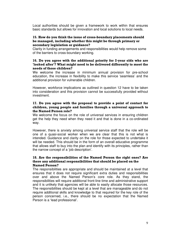Local authorities should be given a framework to work within that ensures basic standards but allows for innovation and local solutions to local needs.

#### 15. How do you think the issue of cross-boundary placements should be managed, including whether this might be through primary or secondary legislation or guidance?

Clarity in funding arrangements and responsibilities would help remove some of the barriers to cross-boundary working.

#### 16. Do you agree with the additional priority for 2-year olds who are 'looked after'? What might need to be delivered differently to meet the needs of those children?

We welcome the increase in minimum annual provision for pre-school education, the increase in flexibility to make this service 'seamless' and the additional provision for vulnerable children.

However, workforce implications as outlined in question 12 have to be taken into consideration and this provision cannot be successfully provided without investment.

#### 17. Do you agree with the proposal to provide a point of contact for children, young people and families through a universal approach to the Named Person role?

We welcome the focus on the role of universal services in ensuring children get the help they need when they need it and that is done in a co-ordinated way.

However, there is anxiety among universal service staff that the role will be one of a quasi-social worker when we are clear that this is not what is intended. Guidance and clarity on the role for those expected to undertake it will be needed. This should be in the form of an overall educative programme that allows staff to buy into the plan and identify with its principles, rather than the narrow concept of a 'job description'.

# 18. Are the responsibilities of the Named Person the right ones? Are there any additional responsibilities that should be placed on the Named Person?

The responsibilities are appropriate and should be maintained at a level that ensures that it does not require significant extra duties and responsibilities over and above the Named Person's core role. As they stand, the responsibilities will require additional front-line time and administrative support and it is unlikely that agencies will be able to easily allocate those resources. The responsibilities should be kept at a level that are manageable and do not require additional skills and knowledge to that required for the key role of the person concerned, i.e., there should be no expectation that the Named Person is a 'lead professional'.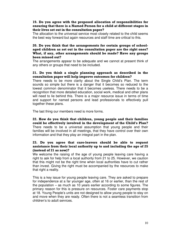#### 19. Do you agree with the proposed allocation of responsibilities for ensuring that there is a Named Person for a child at different stages in their lives set out in the consultation paper?

The allocation to the universal service most closely related to the child seems the best way forward but again resources and staff time are critical to this.

#### 20. Do you think that the arrangements for certain groups of schoolaged children as set out in the consultation paper are the right ones? What, if any, other arrangements should be made? Have any groups been missed out?

The arrangements appear to be adequate and we cannot at present think of any others or groups that need to be included.

#### 21. Do you think a single planning approach as described in the consultation paper will help improve outcomes for children?

There needs to be more clarity about the Single Child's Plan. The term sounds so simple but there is a danger that it becomes so reduced to the lowest common denominator that it becomes useless. There needs to be a recognition that more detailed education, social work, medical and other plans will need to lie behind this. There is a major resource issue in terms of time and support for named persons and lead professionals to effectively pull together these plans.

The last thing our members need is more forms.

22. How do you think that children, young people and their families could be effectively involved in the development of the Child's Plan? There needs to be a universal assumption that young people and their families will be involved in all meetings, that they have control over their own information and that they play an integral part in the plan.

# 23. Do you agree that care-leavers should be able to request assistance from their local authority up to and including the age of 25 (instead of 21 as now)?

We welcome the raising of the age of young people leaving care having a right to ask for help from a local authority from 21 to 25. However, we caution that this might not be the right time when local authorities have to cut rather than invest. Giving the right must be accompanied by the resources to make that right a reality.

This is a key issue for young people leaving care. They are asked to prepare for independence at a far younger age, often at 16 or earlier, than the rest of the population – as much as 10 years earlier according to some figures. The primary reason for this is pressure on resources. Foster care payments stop at 18. Young People's units are not designed to allow young people to stay on and move when they are ready. Often there is not a seamless transition from children's to adult services.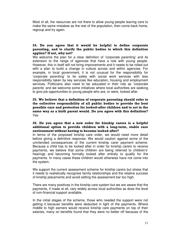Most of all, the resources are not there to allow young people leaving care to make the same mistakes as the rest of the population, then come back home, regroup and try again.

# 24. Do you agree that it would be helpful to define corporate parenting, and to clarify the public bodies to which this definition applies? If not, why not?

We welcome the plan for a clear definition of 'corporate parenting' and its extension to the range of agencies that have a role with young people. However, this in itself will not bring improvements and it needs to be rolled out with a plan to build a change in culture across and within agencies. For example, in local government, it is not unusual for the responsibility for 'corporate parenting' to lie solely with social work services with less responsibility taken by key services like education, housing and employment services. Politicians also need to be educated in their role as 'corporate parents' and we welcome some initiatives where local authorities are seeking to give job opportunities to young people who are, or were, looked after.

25. We believe that a definition of corporate parenting should refer to the collective responsibility of all public bodies to provide the best possible care and protection for looked-after children and to act in the same way as a birth parent would. Do you agree with this definition? Yes

#### 26. Do you agree that a new order for kinship carers is a helpful additional option to provide children with a long-term, stable care environment without having to become looked after?

In terms of the proposed kinship care order, we would need more detail before giving a definitive response. We would caution against some of the unintended consequences of the current kinship carer payment scheme. Because a child has to be looked after in order for kinship carers to receive payments, we believe that some children are being referred to children's' hearings and becoming formally looked after entirely to qualify for the payments. In many cases these children would otherwise have not come into the system.

We support the current assessment scheme for kinship carers but stress that it needs to realistically recognise family relationships and the relative success of kinship placements and avoid setting the assessment bar too high.

There are many positives in the kinship care system but we are aware that the payments, if made at all, vary widely across local authorities as does the level of non-financial support available.

In the initial stages of the scheme, those who needed the support were not getting it because benefits were deducted in light of the payments. Where middle to high earners would receive kinship care payments on top of their salaries, many on benefits found that they were no better off because of the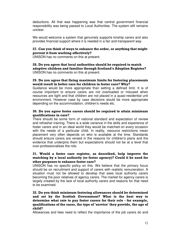deductions. All that was happening was that central government financial responsibility was being passed to Local Authorities. The system still remains unclear.

We would welcome a system that genuinely supports kinship carers and also provides financial support where it is needed in a fair and transparent way.

# 27. Can you think of ways to enhance the order, or anything that might prevent it from working effectively?

UNISON has no comments on this at present.

28. Do you agree that local authorities should be required to match adoptive children and families through Scotland's Adoption Register? UNISON has no comments on this at present.

# 29. Do you agree that fixing maximum limits for fostering placements would result in better care for children in foster care? Why?

Guidance would be more appropriate than setting a defined limit. It is of course important to ensure carers are not overloaded or misused when resources are tight and that children are not placed in a quasi-residential unit environment. However case by case decisions would be more appropriate depending on the accommodation, children's needs etc.

#### 30. Do you agree foster carers should be required to attain minimum qualifications in care?

There should be some form of national standard and expectation of review and refresher training. There is a wide variance in the skills and experience of foster carers and in an ideal world they would be matched on every occasion with the needs of a particular child. In reality, resource restrictions mean placement very often depends on who is available at the time. Standards should ensure carers are versed in the reasons for children's plans and the evidence that underpins them but expectations should not be at a level that over-professionalises the role.

#### 31. Would a foster care register, as described, help improve the matching by a local authority (or foster agency)? Could it be used for other purposes to enhance foster care?

UNISON has no specific policy on this. We believe that the primary focus should be on recruitment and support of carers with realistic remuneration. A situation must not be allowed to develop that sees local authority carers becoming the poor relatives of agency carers. The market for agency carers is largely created by the lack of local authority carers and reasons for that need to be examined.

# 32. Do you think minimum fostering allowances should be determined and set by the Scottish Government? What is the best way to determine what rate to pay foster carers for their role - for example, qualifications of the carer, the type of 'service' they provide, the age of child?

Allowances and fees need to reflect the importance of the job carers do and